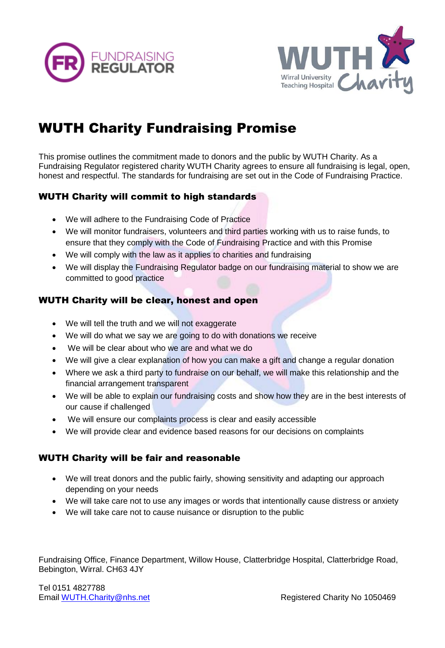



# WUTH Charity Fundraising Promise

This promise outlines the commitment made to donors and the public by WUTH Charity. As a Fundraising Regulator registered charity WUTH Charity agrees to ensure all fundraising is legal, open, honest and respectful. The standards for fundraising are set out in the Code of Fundraising Practice.

#### WUTH Charity will commit to high standards

- We will adhere to the Fundraising Code of Practice
- We will monitor fundraisers, volunteers and third parties working with us to raise funds, to ensure that they comply with the Code of Fundraising Practice and with this Promise
- We will comply with the law as it applies to charities and fundraising
- We will display the Fundraising Regulator badge on our fundraising material to show we are committed to good practice

#### WUTH Charity will be clear, honest and open

- We will tell the truth and we will not exaggerate
- We will do what we say we are going to do with donations we receive
- We will be clear about who we are and what we do
- We will give a clear explanation of how you can make a gift and change a regular donation
- Where we ask a third party to fundraise on our behalf, we will make this relationship and the financial arrangement transparent
- We will be able to explain our fundraising costs and show how they are in the best interests of our cause if challenged
- We will ensure our complaints process is clear and easily accessible
- We will provide clear and evidence based reasons for our decisions on complaints

#### WUTH Charity will be fair and reasonable

- We will treat donors and the public fairly, showing sensitivity and adapting our approach depending on your needs
- We will take care not to use any images or words that intentionally cause distress or anxiety
- We will take care not to cause nuisance or disruption to the public

Fundraising Office, Finance Department, Willow House, Clatterbridge Hospital, Clatterbridge Road, Bebington, Wirral. CH63 4JY

Tel 0151 4827788